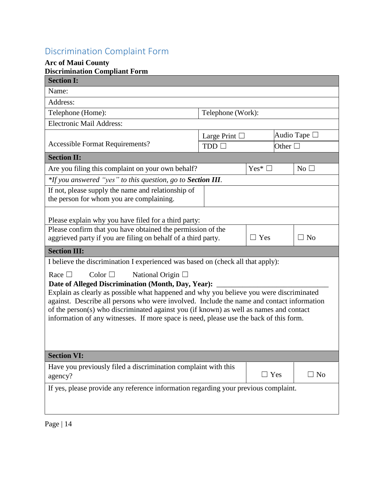## Discrimination Complaint Form

## **Arc of Maui County**

| Telephone (Work):                                                                                                                                                                |                                                                                                                                                                                      |                    |                |  |  |
|----------------------------------------------------------------------------------------------------------------------------------------------------------------------------------|--------------------------------------------------------------------------------------------------------------------------------------------------------------------------------------|--------------------|----------------|--|--|
|                                                                                                                                                                                  |                                                                                                                                                                                      |                    |                |  |  |
| Audio Tape $\Box$                                                                                                                                                                |                                                                                                                                                                                      |                    |                |  |  |
| TDD                                                                                                                                                                              |                                                                                                                                                                                      | Other $\square$    |                |  |  |
|                                                                                                                                                                                  |                                                                                                                                                                                      |                    |                |  |  |
|                                                                                                                                                                                  | $Yes^*$                                                                                                                                                                              |                    | $No$ $\square$ |  |  |
| *If you answered "yes" to this question, go to Section III.                                                                                                                      |                                                                                                                                                                                      |                    |                |  |  |
| If not, please supply the name and relationship of<br>the person for whom you are complaining.                                                                                   |                                                                                                                                                                                      |                    |                |  |  |
|                                                                                                                                                                                  |                                                                                                                                                                                      |                    |                |  |  |
|                                                                                                                                                                                  |                                                                                                                                                                                      |                    |                |  |  |
| Please explain why you have filed for a third party:<br>Please confirm that you have obtained the permission of the                                                              |                                                                                                                                                                                      |                    |                |  |  |
|                                                                                                                                                                                  | $\Box$ Yes                                                                                                                                                                           |                    | $\Box$ No      |  |  |
|                                                                                                                                                                                  |                                                                                                                                                                                      |                    |                |  |  |
| I believe the discrimination I experienced was based on (check all that apply):                                                                                                  |                                                                                                                                                                                      |                    |                |  |  |
| National Origin $\Box$<br>Race $\Box$<br>Color $\Box$                                                                                                                            |                                                                                                                                                                                      |                    |                |  |  |
| Date of Alleged Discrimination (Month, Day, Year): ___                                                                                                                           |                                                                                                                                                                                      |                    |                |  |  |
| Explain as clearly as possible what happened and why you believe you were discriminated                                                                                          |                                                                                                                                                                                      |                    |                |  |  |
| against. Describe all persons who were involved. Include the name and contact information                                                                                        |                                                                                                                                                                                      |                    |                |  |  |
| of the person(s) who discriminated against you (if known) as well as names and contact<br>information of any witnesses. If more space is need, please use the back of this form. |                                                                                                                                                                                      |                    |                |  |  |
|                                                                                                                                                                                  |                                                                                                                                                                                      |                    |                |  |  |
|                                                                                                                                                                                  |                                                                                                                                                                                      |                    |                |  |  |
|                                                                                                                                                                                  |                                                                                                                                                                                      |                    |                |  |  |
|                                                                                                                                                                                  |                                                                                                                                                                                      |                    |                |  |  |
|                                                                                                                                                                                  |                                                                                                                                                                                      |                    | $\square$ No   |  |  |
| If yes, please provide any reference information regarding your previous complaint.                                                                                              |                                                                                                                                                                                      |                    |                |  |  |
|                                                                                                                                                                                  |                                                                                                                                                                                      |                    |                |  |  |
|                                                                                                                                                                                  |                                                                                                                                                                                      |                    |                |  |  |
|                                                                                                                                                                                  | Are you filing this complaint on your own behalf?<br>aggrieved party if you are filing on behalf of a third party.<br>Have you previously filed a discrimination complaint with this | Large Print $\Box$ | $\Box$ Yes     |  |  |

Page | 14